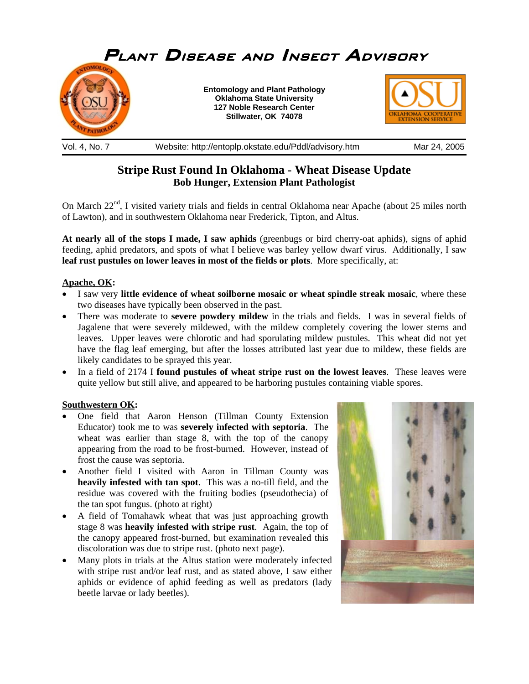

## **Stripe Rust Found In Oklahoma - Wheat Disease Update Bob Hunger, Extension Plant Pathologist**

On March 22<sup>nd</sup>, I visited variety trials and fields in central Oklahoma near Apache (about 25 miles north of Lawton), and in southwestern Oklahoma near Frederick, Tipton, and Altus.

**At nearly all of the stops I made, I saw aphids** (greenbugs or bird cherry-oat aphids), signs of aphid feeding, aphid predators, and spots of what I believe was barley yellow dwarf virus. Additionally, I saw **leaf rust pustules on lower leaves in most of the fields or plots**. More specifically, at:

## **Apache, OK:**

- I saw very **little evidence of wheat soilborne mosaic or wheat spindle streak mosaic**, where these two diseases have typically been observed in the past.
- There was moderate to **severe powdery mildew** in the trials and fields. I was in several fields of Jagalene that were severely mildewed, with the mildew completely covering the lower stems and leaves. Upper leaves were chlorotic and had sporulating mildew pustules. This wheat did not yet have the flag leaf emerging, but after the losses attributed last year due to mildew, these fields are likely candidates to be sprayed this year.
- In a field of 2174 I **found pustules of wheat stripe rust on the lowest leaves**. These leaves were quite yellow but still alive, and appeared to be harboring pustules containing viable spores.

## **Southwestern OK:**

- One field that Aaron Henson (Tillman County Extension Educator) took me to was **severely infected with septoria**. The wheat was earlier than stage 8, with the top of the canopy appearing from the road to be frost-burned. However, instead of frost the cause was septoria.
- Another field I visited with Aaron in Tillman County was **heavily infested with tan spot**. This was a no-till field, and the residue was covered with the fruiting bodies (pseudothecia) of the tan spot fungus. (photo at right)
- A field of Tomahawk wheat that was just approaching growth stage 8 was **heavily infested with stripe rust**. Again, the top of the canopy appeared frost-burned, but examination revealed this discoloration was due to stripe rust. (photo next page).
- Many plots in trials at the Altus station were moderately infected with stripe rust and/or leaf rust, and as stated above, I saw either aphids or evidence of aphid feeding as well as predators (lady beetle larvae or lady beetles).